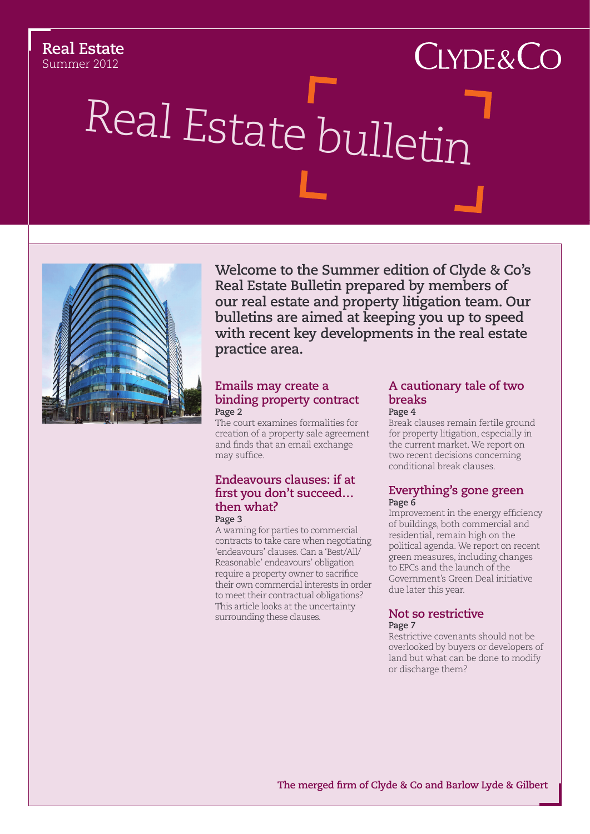#### **Real Estate** Summer 2012

# $C$ LYDE& $C$ O Real Estate bulletin



**Welcome to the Summer edition of Clyde & Co's Real Estate Bulletin prepared by members of our real estate and property litigation team. Our bulletins are aimed at keeping you up to speed with recent key developments in the real estate practice area.**

#### **[Emails may create a](#page-1-0)  [binding property contract](#page-1-0) Page 2**

The court examines formalities for creation of a property sale agreement and finds that an email exchange may suffice.

#### **Endeavours clauses: if at first you don't succeed… then what? Page 3**

A warning for parties to commercial contracts to take care when negotiating 'endeavours' clauses. Can a 'Best/All/ Reasonable' endeavours' obligation require a property owner to sacrifice their own commercial interests in order to meet their contractual obligations? This article looks at the uncertainty surrounding these clauses.

### **[A cautionary tale of two](#page-3-0)  [breaks](#page-3-0)**

**Page 4** Break clauses remain fertile ground for property litigation, especially in the current market. We report on two recent decisions concerning conditional break clauses.

#### **Everything's gone green Page 6**

Improvement in the energy efficiency of buildings, both commercial and residential, remain high on the political agenda. We report on recent green measures, including changes to EPCs and the launch of the Government's Green Deal initiative due later this year.

#### **[Not so restrictive](#page-6-0)  Page 7**

Restrictive covenants should not be overlooked by buyers or developers of land but what can be done to modify or discharge them?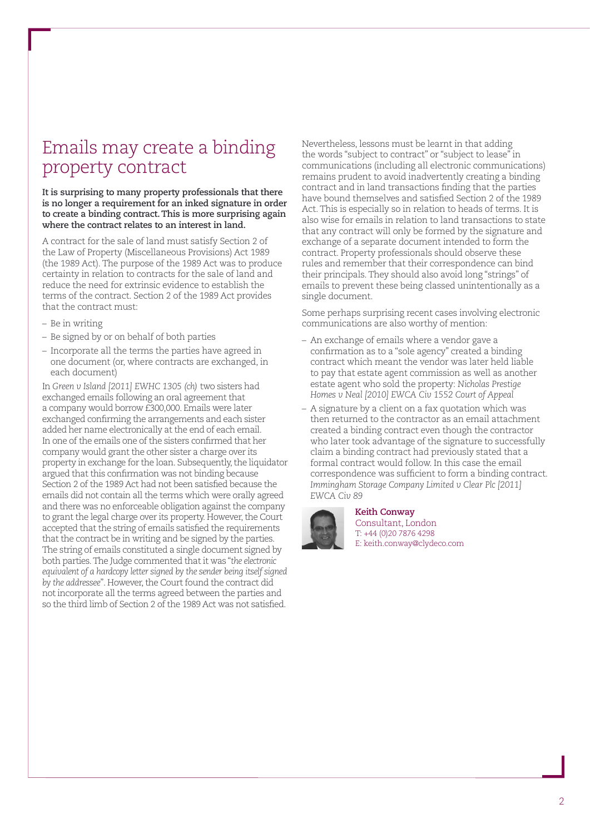## <span id="page-1-0"></span>Emails may create a binding property contract

#### **It is surprising to many property professionals that there is no longer a requirement for an inked signature in order to create a binding contract. This is more surprising again where the contract relates to an interest in land.**

A contract for the sale of land must satisfy Section 2 of the Law of Property (Miscellaneous Provisions) Act 1989 (the 1989 Act). The purpose of the 1989 Act was to produce certainty in relation to contracts for the sale of land and reduce the need for extrinsic evidence to establish the terms of the contract. Section 2 of the 1989 Act provides that the contract must:

- Be in writing
- Be signed by or on behalf of both parties
- Incorporate all the terms the parties have agreed in one document (or, where contracts are exchanged, in each document)

In *Green v Island [2011] EWHC 1305 (ch)* two sisters had exchanged emails following an oral agreement that a company would borrow £300,000. Emails were later exchanged confirming the arrangements and each sister added her name electronically at the end of each email. In one of the emails one of the sisters confirmed that her company would grant the other sister a charge over its property in exchange for the loan. Subsequently, the liquidator argued that this confirmation was not binding because Section 2 of the 1989 Act had not been satisfied because the emails did not contain all the terms which were orally agreed and there was no enforceable obligation against the company to grant the legal charge over its property. However, the Court accepted that the string of emails satisfied the requirements that the contract be in writing and be signed by the parties. The string of emails constituted a single document signed by both parties. The Judge commented that it was "*the electronic equivalent of a hardcopy letter signed by the sender being itself signed by the addressee*". However, the Court found the contract did not incorporate all the terms agreed between the parties and so the third limb of Section 2 of the 1989 Act was not satisfied.

Nevertheless, lessons must be learnt in that adding the words "subject to contract" or "subject to lease" in communications (including all electronic communications) remains prudent to avoid inadvertently creating a binding contract and in land transactions finding that the parties have bound themselves and satisfied Section 2 of the 1989 Act. This is especially so in relation to heads of terms. It is also wise for emails in relation to land transactions to state that any contract will only be formed by the signature and exchange of a separate document intended to form the contract. Property professionals should observe these rules and remember that their correspondence can bind their principals. They should also avoid long "strings" of emails to prevent these being classed unintentionally as a single document.

Some perhaps surprising recent cases involving electronic communications are also worthy of mention:

- An exchange of emails where a vendor gave a confirmation as to a "sole agency" created a binding contract which meant the vendor was later held liable to pay that estate agent commission as well as another estate agent who sold the property: *Nicholas Prestige Homes v Neal [2010] EWCA Civ 1552 Court of Appeal*
- A signature by a client on a fax quotation which was then returned to the contractor as an email attachment created a binding contract even though the contractor who later took advantage of the signature to successfully claim a binding contract had previously stated that a formal contract would follow. In this case the email correspondence was sufficient to form a binding contract. *Immingham Storage Company Limited v Clear Plc [2011] EWCA Civ 89*



#### **Keith Conway**

Consultant, London T: +44 (0)20 7876 4298 E: keith.conway@clydeco.com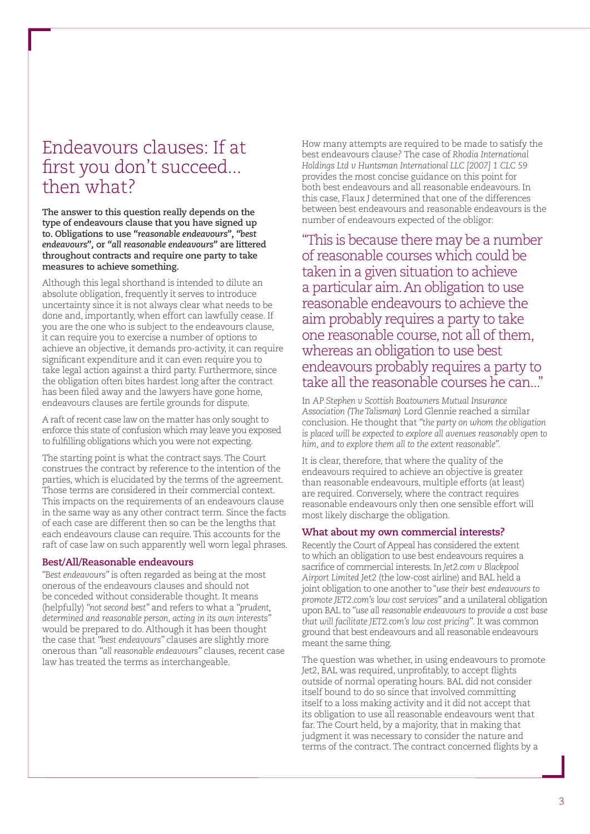## Endeavours clauses: If at first you don't succeed... then what?

**The answer to this question really depends on the type of endeavours clause that you have signed up to. Obligations to use** *"reasonable endeavours", "best endeavours",* **or** *"all reasonable endeavours"* **are littered throughout contracts and require one party to take measures to achieve something.** 

Although this legal shorthand is intended to dilute an absolute obligation, frequently it serves to introduce uncertainty since it is not always clear what needs to be done and, importantly, when effort can lawfully cease. If you are the one who is subject to the endeavours clause, it can require you to exercise a number of options to achieve an objective, it demands pro-activity, it can require significant expenditure and it can even require you to take legal action against a third party. Furthermore, since the obligation often bites hardest long after the contract has been filed away and the lawyers have gone home, endeavours clauses are fertile grounds for dispute.

A raft of recent case law on the matter has only sought to enforce this state of confusion which may leave you exposed to fulfilling obligations which you were not expecting.

The starting point is what the contract says. The Court construes the contract by reference to the intention of the parties, which is elucidated by the terms of the agreement. Those terms are considered in their commercial context. This impacts on the requirements of an endeavours clause in the same way as any other contract term. Since the facts of each case are different then so can be the lengths that each endeavours clause can require. This accounts for the raft of case law on such apparently well worn legal phrases.

#### **Best/All/Reasonable endeavours**

*"Best endeavours"* is often regarded as being at the most onerous of the endeavours clauses and should not be conceded without considerable thought. It means (helpfully) *"not second best"* and refers to what a *"prudent, determined and reasonable person, acting in its own interests"*  would be prepared to do. Although it has been thought the case that *"best endeavours"* clauses are slightly more onerous than *"all reasonable endeavours"* clauses, recent case law has treated the terms as interchangeable.

How many attempts are required to be made to satisfy the best endeavours clause? The case of *Rhodia International Holdings Ltd v Huntsman International LLC [2007] 1 CLC 59* provides the most concise guidance on this point for both best endeavours and all reasonable endeavours. In this case, Flaux J determined that one of the differences between best endeavours and reasonable endeavours is the number of endeavours expected of the obligor:

"This is because there may be a number of reasonable courses which could be taken in a given situation to achieve a particular aim. An obligation to use reasonable endeavours to achieve the aim probably requires a party to take one reasonable course, not all of them, whereas an obligation to use best endeavours probably requires a party to take all the reasonable courses he can..."

In *AP Stephen v Scottish Boatowners Mutual Insurance Association (The Talisman)* Lord Glennie reached a similar conclusion. He thought that *"the party on whom the obligation is placed will be expected to explore all avenues reasonably open to him, and to explore them all to the extent reasonable".* 

It is clear, therefore, that where the quality of the endeavours required to achieve an objective is greater than reasonable endeavours, multiple efforts (at least) are required. Conversely, where the contract requires reasonable endeavours only then one sensible effort will most likely discharge the obligation.

#### **What about my own commercial interests?**

Recently the Court of Appeal has considered the extent to which an obligation to use best endeavours requires a sacrifice of commercial interests. In *Jet2.com v Blackpool Airport Limited* Jet2 (the low-cost airline) and BAL held a joint obligation to one another to "*use their best endeavours to promote JET2.com's low cost services"* and a unilateral obligation upon BAL to *"use all reasonable endeavours to provide a cost base that will facilitate JET2.com's low cost pricing".* It was common ground that best endeavours and all reasonable endeavours meant the same thing.

The question was whether, in using endeavours to promote Jet2, BAL was required, unprofitably, to accept flights outside of normal operating hours. BAL did not consider itself bound to do so since that involved committing itself to a loss making activity and it did not accept that its obligation to use all reasonable endeavours went that far. The Court held, by a majority, that in making that judgment it was necessary to consider the nature and terms of the contract. The contract concerned flights by a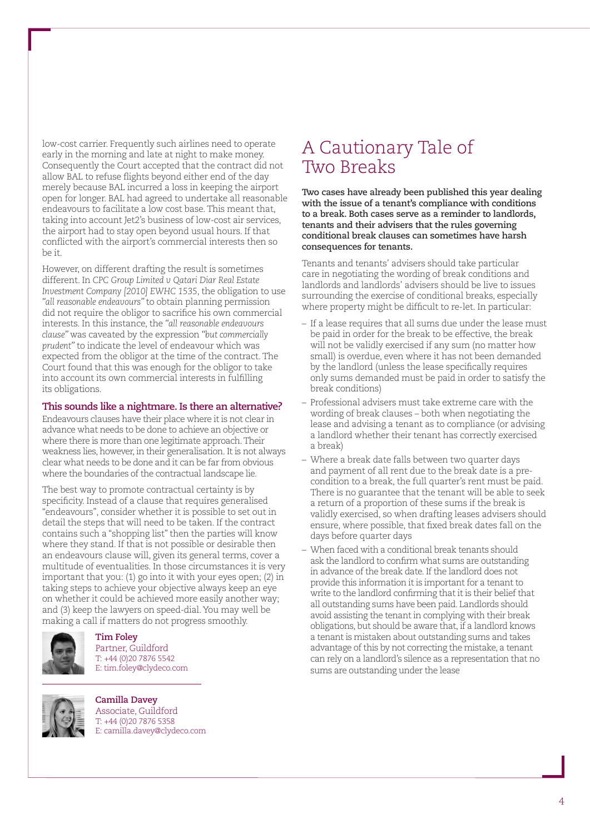low-cost carrier. Frequently such airlines need to operate early in the morning and late at night to make money. Consequently the Court accepted that the contract did not allow BAL to refuse flights beyond either end of the day merely because BAL incurred a loss in keeping the airport open for longer. BAL had agreed to undertake all reasonable endeavours to facilitate a low cost base. This meant that, taking into account Jet2's business of low-cost air services, the airport had to stay open beyond usual hours. If that conflicted with the airport's commercial interests then so be it.

However, on different drafting the result is sometimes different. In *CPC Group Limited v Qatari Diar Real Estate Investment Company [2010] EWHC 1535*, the obligation to use *"all reasonable endeavours"* to obtain planning permission did not require the obligor to sacrifice his own commercial interests. In this instance, the *"all reasonable endeavours clause"* was caveated by the expression *"but commercially prudent"* to indicate the level of endeavour which was expected from the obligor at the time of the contract. The Court found that this was enough for the obligor to take into account its own commercial interests in fulfilling its obligations.

#### **This sounds like a nightmare. Is there an alternative?**

Endeavours clauses have their place where it is not clear in advance what needs to be done to achieve an objective or where there is more than one legitimate approach. Their weakness lies, however, in their generalisation. It is not always clear what needs to be done and it can be far from obvious where the boundaries of the contractual landscape lie.

The best way to promote contractual certainty is by specificity. Instead of a clause that requires generalised "endeavours", consider whether it is possible to set out in detail the steps that will need to be taken. If the contract contains such a "shopping list" then the parties will know where they stand. If that is not possible or desirable then an endeavours clause will, given its general terms, cover a multitude of eventualities. In those circumstances it is very important that you: (1) go into it with your eyes open; (2) in taking steps to achieve your objective always keep an eye on whether it could be achieved more easily another way; and (3) keep the lawyers on speed-dial. You may well be making a call if matters do not progress smoothly.



**Tim Foley**  Partner, Guildford T: +44 (0)20 7876 5542 E: tim.foley@clydeco.com



**Camilla Davey** Associate, Guildford T: +44 (0)20 7876 5358 E: camilla.davey@clydeco.com

## <span id="page-3-0"></span>A Cautionary Tale of Two Breaks

**Two cases have already been published this year dealing with the issue of a tenant's compliance with conditions to a break. Both cases serve as a reminder to landlords, tenants and their advisers that the rules governing conditional break clauses can sometimes have harsh consequences for tenants.** 

Tenants and tenants' advisers should take particular care in negotiating the wording of break conditions and landlords and landlords' advisers should be live to issues surrounding the exercise of conditional breaks, especially where property might be difficult to re-let. In particular:

- If a lease requires that all sums due under the lease must be paid in order for the break to be effective, the break will not be validly exercised if any sum (no matter how small) is overdue, even where it has not been demanded by the landlord (unless the lease specifically requires only sums demanded must be paid in order to satisfy the break conditions)
- Professional advisers must take extreme care with the wording of break clauses – both when negotiating the lease and advising a tenant as to compliance (or advising a landlord whether their tenant has correctly exercised a break)
- Where a break date falls between two quarter days and payment of all rent due to the break date is a precondition to a break, the full quarter's rent must be paid. There is no guarantee that the tenant will be able to seek a return of a proportion of these sums if the break is validly exercised, so when drafting leases advisers should ensure, where possible, that fixed break dates fall on the days before quarter days
- When faced with a conditional break tenants should ask the landlord to confirm what sums are outstanding in advance of the break date. If the landlord does not provide this information it is important for a tenant to write to the landlord confirming that it is their belief that all outstanding sums have been paid. Landlords should avoid assisting the tenant in complying with their break obligations, but should be aware that, if a landlord knows a tenant is mistaken about outstanding sums and takes advantage of this by not correcting the mistake, a tenant can rely on a landlord's silence as a representation that no sums are outstanding under the lease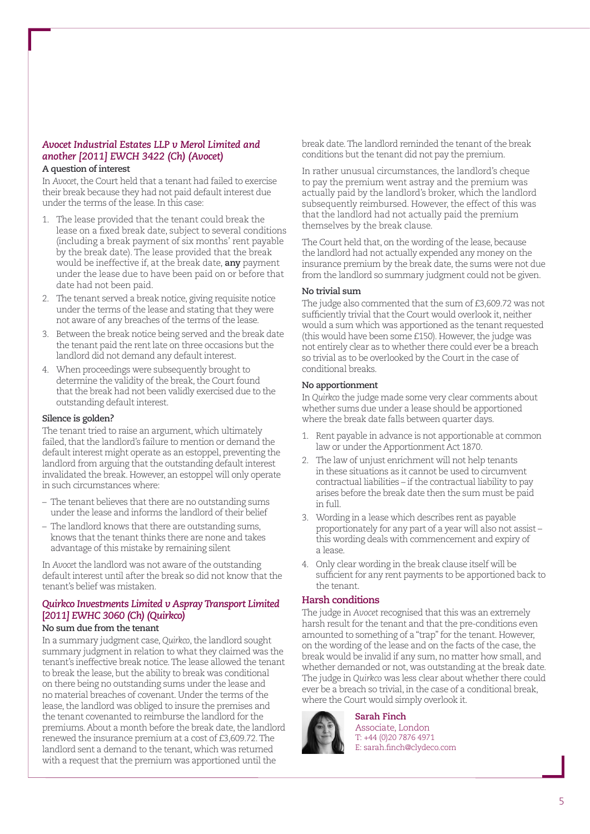#### *Avocet Industrial Estates LLP v Merol Limited and another [2011] EWCH 3422 (Ch) (Avocet)*

#### **A question of interest**

In *Avocet*, the Court held that a tenant had failed to exercise their break because they had not paid default interest due under the terms of the lease. In this case:

- The lease provided that the tenant could break the lease on a fixed break date, subject to several conditions (including a break payment of six months' rent payable by the break date). The lease provided that the break would be ineffective if, at the break date, **any** payment under the lease due to have been paid on or before that date had not been paid.
- 2. The tenant served a break notice, giving requisite notice under the terms of the lease and stating that they were not aware of any breaches of the terms of the lease.
- 3. Between the break notice being served and the break date the tenant paid the rent late on three occasions but the landlord did not demand any default interest.
- 4. When proceedings were subsequently brought to determine the validity of the break, the Court found that the break had not been validly exercised due to the outstanding default interest.

#### **Silence is golden?**

The tenant tried to raise an argument, which ultimately failed, that the landlord's failure to mention or demand the default interest might operate as an estoppel, preventing the landlord from arguing that the outstanding default interest invalidated the break. However, an estoppel will only operate in such circumstances where:

- The tenant believes that there are no outstanding sums under the lease and informs the landlord of their belief
- The landlord knows that there are outstanding sums, knows that the tenant thinks there are none and takes advantage of this mistake by remaining silent

In *Avocet* the landlord was not aware of the outstanding default interest until after the break so did not know that the tenant's belief was mistaken.

#### *Quirkco Investments Limited v Aspray Transport Limited* **[***2011] EWHC 3060 (Ch) (Quirkco)*  **No sum due from the tenant**

In a summary judgment case, *Quirkco*, the landlord sought summary judgment in relation to what they claimed was the tenant's ineffective break notice. The lease allowed the tenant to break the lease, but the ability to break was conditional on there being no outstanding sums under the lease and no material breaches of covenant. Under the terms of the lease, the landlord was obliged to insure the premises and the tenant covenanted to reimburse the landlord for the premiums. About a month before the break date, the landlord renewed the insurance premium at a cost of £3,609.72. The landlord sent a demand to the tenant, which was returned with a request that the premium was apportioned until the

break date. The landlord reminded the tenant of the break conditions but the tenant did not pay the premium.

In rather unusual circumstances, the landlord's cheque to pay the premium went astray and the premium was actually paid by the landlord's broker, which the landlord subsequently reimbursed. However, the effect of this was that the landlord had not actually paid the premium themselves by the break clause.

The Court held that, on the wording of the lease, because the landlord had not actually expended any money on the insurance premium by the break date, the sums were not due from the landlord so summary judgment could not be given.

#### **No trivial sum**

The judge also commented that the sum of £3,609.72 was not sufficiently trivial that the Court would overlook it, neither would a sum which was apportioned as the tenant requested (this would have been some £150). However, the judge was not entirely clear as to whether there could ever be a breach so trivial as to be overlooked by the Court in the case of conditional breaks.

#### **No apportionment**

In *Quirkco* the judge made some very clear comments about whether sums due under a lease should be apportioned where the break date falls between quarter days.

- 1. Rent payable in advance is not apportionable at common law or under the Apportionment Act 1870.
- 2. The law of unjust enrichment will not help tenants in these situations as it cannot be used to circumvent contractual liabilities – if the contractual liability to pay arises before the break date then the sum must be paid in full.
- 3. Wording in a lease which describes rent as payable proportionately for any part of a year will also not assist – this wording deals with commencement and expiry of a lease.
- 4. Only clear wording in the break clause itself will be sufficient for any rent payments to be apportioned back to the tenant.

#### **Harsh conditions**

The judge in *Avocet* recognised that this was an extremely harsh result for the tenant and that the pre-conditions even amounted to something of a "trap" for the tenant. However, on the wording of the lease and on the facts of the case, the break would be invalid if any sum, no matter how small, and whether demanded or not, was outstanding at the break date. The judge in *Quirkco* was less clear about whether there could ever be a breach so trivial, in the case of a conditional break, where the Court would simply overlook it.



**Sarah Finch** Associate, London T: +44 (0)20 7876 4971 E: sarah.finch@clydeco.com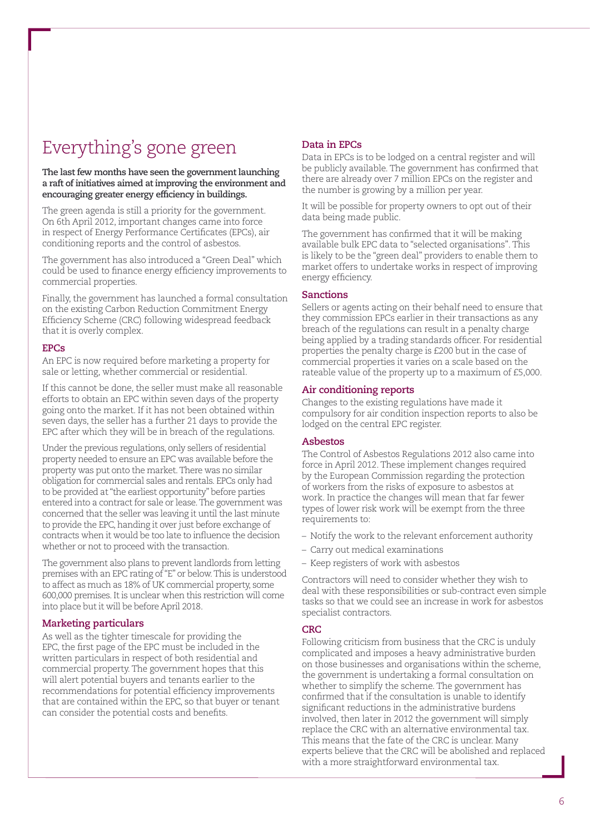## Everything's gone green

**The last few months have seen the government launching a raft of initiatives aimed at improving the environment and encouraging greater energy efficiency in buildings.** 

The green agenda is still a priority for the government. On 6th April 2012, important changes came into force in respect of Energy Performance Certificates (EPCs), air conditioning reports and the control of asbestos.

The government has also introduced a "Green Deal" which could be used to finance energy efficiency improvements to commercial properties.

Finally, the government has launched a formal consultation on the existing Carbon Reduction Commitment Energy Efficiency Scheme (CRC) following widespread feedback that it is overly complex.

#### **EPCs**

An EPC is now required before marketing a property for sale or letting, whether commercial or residential.

If this cannot be done, the seller must make all reasonable efforts to obtain an EPC within seven days of the property going onto the market. If it has not been obtained within seven days, the seller has a further 21 days to provide the EPC after which they will be in breach of the regulations.

Under the previous regulations, only sellers of residential property needed to ensure an EPC was available before the property was put onto the market. There was no similar obligation for commercial sales and rentals. EPCs only had to be provided at "the earliest opportunity" before parties entered into a contract for sale or lease. The government was concerned that the seller was leaving it until the last minute to provide the EPC, handing it over just before exchange of contracts when it would be too late to influence the decision whether or not to proceed with the transaction.

The government also plans to prevent landlords from letting premises with an EPC rating of "E" or below. This is understood to affect as much as 18% of UK commercial property, some 600,000 premises. It is unclear when this restriction will come into place but it will be before April 2018.

#### **Marketing particulars**

As well as the tighter timescale for providing the EPC, the first page of the EPC must be included in the written particulars in respect of both residential and commercial property. The government hopes that this will alert potential buyers and tenants earlier to the recommendations for potential efficiency improvements that are contained within the EPC, so that buyer or tenant can consider the potential costs and benefits.

#### **Data in EPCs**

Data in EPCs is to be lodged on a central register and will be publicly available. The government has confirmed that there are already over 7 million EPCs on the register and the number is growing by a million per year.

It will be possible for property owners to opt out of their data being made public.

The government has confirmed that it will be making available bulk EPC data to "selected organisations". This is likely to be the "green deal" providers to enable them to market offers to undertake works in respect of improving energy efficiency.

#### **Sanctions**

Sellers or agents acting on their behalf need to ensure that they commission EPCs earlier in their transactions as any breach of the regulations can result in a penalty charge being applied by a trading standards officer. For residential properties the penalty charge is £200 but in the case of commercial properties it varies on a scale based on the rateable value of the property up to a maximum of £5,000.

#### **Air conditioning reports**

Changes to the existing regulations have made it compulsory for air condition inspection reports to also be lodged on the central EPC register.

#### **Asbestos**

The Control of Asbestos Regulations 2012 also came into force in April 2012. These implement changes required by the European Commission regarding the protection of workers from the risks of exposure to asbestos at work. In practice the changes will mean that far fewer types of lower risk work will be exempt from the three requirements to:

- Notify the work to the relevant enforcement authority
- Carry out medical examinations
- Keep registers of work with asbestos

Contractors will need to consider whether they wish to deal with these responsibilities or sub-contract even simple tasks so that we could see an increase in work for asbestos specialist contractors.

#### **CRC**

Following criticism from business that the CRC is unduly complicated and imposes a heavy administrative burden on those businesses and organisations within the scheme, the government is undertaking a formal consultation on whether to simplify the scheme. The government has confirmed that if the consultation is unable to identify significant reductions in the administrative burdens involved, then later in 2012 the government will simply replace the CRC with an alternative environmental tax. This means that the fate of the CRC is unclear. Many experts believe that the CRC will be abolished and replaced with a more straightforward environmental tax.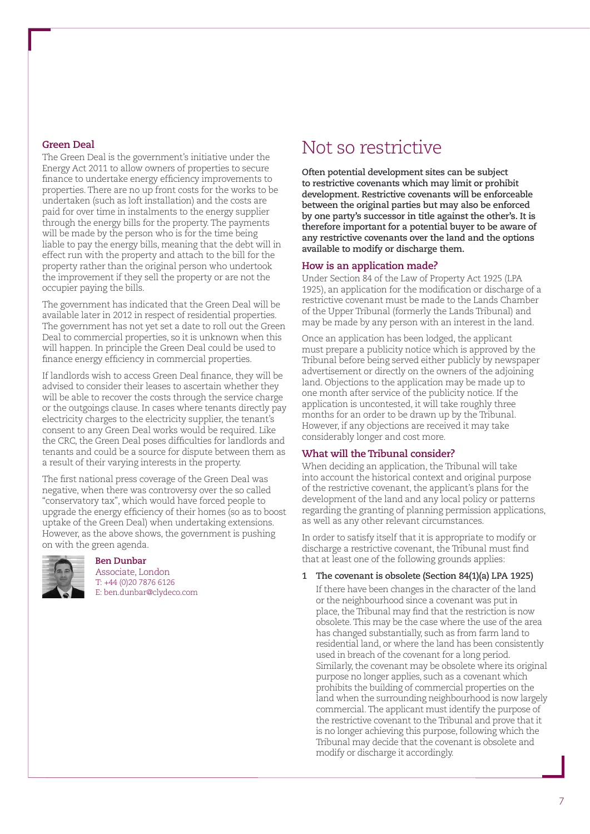#### **Green Deal**

The Green Deal is the government's initiative under the Energy Act 2011 to allow owners of properties to secure finance to undertake energy efficiency improvements to properties. There are no up front costs for the works to be undertaken (such as loft installation) and the costs are paid for over time in instalments to the energy supplier through the energy bills for the property. The payments will be made by the person who is for the time being liable to pay the energy bills, meaning that the debt will in effect run with the property and attach to the bill for the property rather than the original person who undertook the improvement if they sell the property or are not the occupier paying the bills.

The government has indicated that the Green Deal will be available later in 2012 in respect of residential properties. The government has not yet set a date to roll out the Green Deal to commercial properties, so it is unknown when this will happen. In principle the Green Deal could be used to finance energy efficiency in commercial properties.

If landlords wish to access Green Deal finance, they will be advised to consider their leases to ascertain whether they will be able to recover the costs through the service charge or the outgoings clause. In cases where tenants directly pay electricity charges to the electricity supplier, the tenant's consent to any Green Deal works would be required. Like the CRC, the Green Deal poses difficulties for landlords and tenants and could be a source for dispute between them as a result of their varying interests in the property.

The first national press coverage of the Green Deal was negative, when there was controversy over the so called "conservatory tax", which would have forced people to upgrade the energy efficiency of their homes (so as to boost uptake of the Green Deal) when undertaking extensions. However, as the above shows, the government is pushing on with the green agenda.



#### **Ben Dunbar**

Associate, London T: +44 (0)20 7876 6126 E: ben.dunbar@clydeco.com

## <span id="page-6-0"></span>Not so restrictive

**Often potential development sites can be subject to restrictive covenants which may limit or prohibit development. Restrictive covenants will be enforceable between the original parties but may also be enforced by one party's successor in title against the other's. It is therefore important for a potential buyer to be aware of any restrictive covenants over the land and the options available to modify or discharge them.** 

#### **How is an application made?**

Under Section 84 of the Law of Property Act 1925 (LPA 1925), an application for the modification or discharge of a restrictive covenant must be made to the Lands Chamber of the Upper Tribunal (formerly the Lands Tribunal) and may be made by any person with an interest in the land.

Once an application has been lodged, the applicant must prepare a publicity notice which is approved by the Tribunal before being served either publicly by newspaper advertisement or directly on the owners of the adjoining land. Objections to the application may be made up to one month after service of the publicity notice. If the application is uncontested, it will take roughly three months for an order to be drawn up by the Tribunal. However, if any objections are received it may take considerably longer and cost more.

#### **What will the Tribunal consider?**

When deciding an application, the Tribunal will take into account the historical context and original purpose of the restrictive covenant, the applicant's plans for the development of the land and any local policy or patterns regarding the granting of planning permission applications, as well as any other relevant circumstances.

In order to satisfy itself that it is appropriate to modify or discharge a restrictive covenant, the Tribunal must find that at least one of the following grounds applies:

#### **1 The covenant is obsolete (Section 84(1)(a) LPA 1925)**

If there have been changes in the character of the land or the neighbourhood since a covenant was put in place, the Tribunal may find that the restriction is now obsolete. This may be the case where the use of the area has changed substantially, such as from farm land to residential land, or where the land has been consistently used in breach of the covenant for a long period. Similarly, the covenant may be obsolete where its original purpose no longer applies, such as a covenant which prohibits the building of commercial properties on the land when the surrounding neighbourhood is now largely commercial. The applicant must identify the purpose of the restrictive covenant to the Tribunal and prove that it is no longer achieving this purpose, following which the Tribunal may decide that the covenant is obsolete and modify or discharge it accordingly.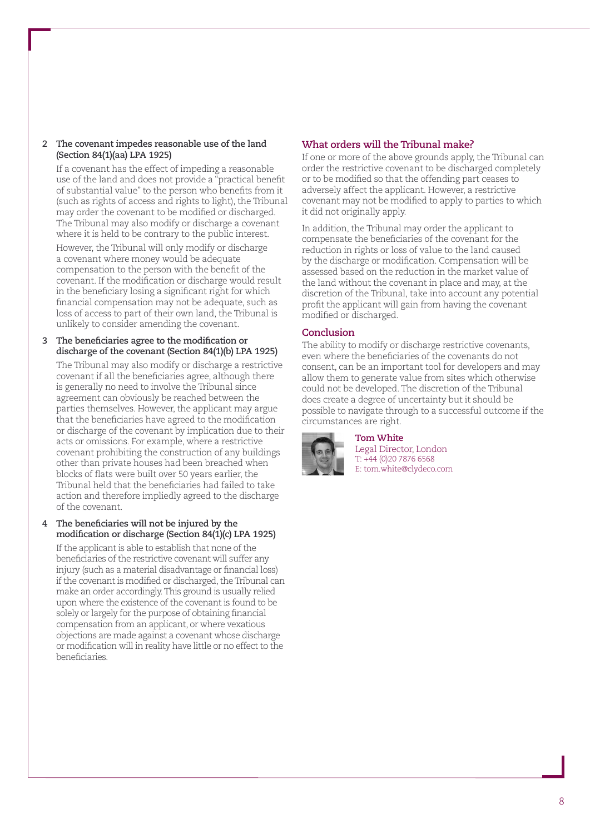#### **2 The covenant impedes reasonable use of the land (Section 84(1)(aa) LPA 1925)**

If a covenant has the effect of impeding a reasonable use of the land and does not provide a "practical benefit of substantial value" to the person who benefits from it (such as rights of access and rights to light), the Tribunal may order the covenant to be modified or discharged. The Tribunal may also modify or discharge a covenant where it is held to be contrary to the public interest. However, the Tribunal will only modify or discharge a covenant where money would be adequate compensation to the person with the benefit of the covenant. If the modification or discharge would result in the beneficiary losing a significant right for which financial compensation may not be adequate, such as loss of access to part of their own land, the Tribunal is unlikely to consider amending the covenant.

**3 The beneficiaries agree to the modification or discharge of the covenant (Section 84(1)(b) LPA 1925)** The Tribunal may also modify or discharge a restrictive covenant if all the beneficiaries agree, although there is generally no need to involve the Tribunal since agreement can obviously be reached between the parties themselves. However, the applicant may argue that the beneficiaries have agreed to the modification or discharge of the covenant by implication due to their acts or omissions. For example, where a restrictive covenant prohibiting the construction of any buildings other than private houses had been breached when blocks of flats were built over 50 years earlier, the Tribunal held that the beneficiaries had failed to take action and therefore impliedly agreed to the discharge of the covenant.

#### **4 The beneficiaries will not be injured by the modification or discharge (Section 84(1)(c) LPA 1925)**

If the applicant is able to establish that none of the beneficiaries of the restrictive covenant will suffer any injury (such as a material disadvantage or financial loss) if the covenant is modified or discharged, the Tribunal can make an order accordingly. This ground is usually relied upon where the existence of the covenant is found to be solely or largely for the purpose of obtaining financial compensation from an applicant, or where vexatious objections are made against a covenant whose discharge or modification will in reality have little or no effect to the beneficiaries.

#### **What orders will the Tribunal make?**

If one or more of the above grounds apply, the Tribunal can order the restrictive covenant to be discharged completely or to be modified so that the offending part ceases to adversely affect the applicant. However, a restrictive covenant may not be modified to apply to parties to which it did not originally apply.

In addition, the Tribunal may order the applicant to compensate the beneficiaries of the covenant for the reduction in rights or loss of value to the land caused by the discharge or modification. Compensation will be assessed based on the reduction in the market value of the land without the covenant in place and may, at the discretion of the Tribunal, take into account any potential profit the applicant will gain from having the covenant modified or discharged.

#### **Conclusion**

The ability to modify or discharge restrictive covenants, even where the beneficiaries of the covenants do not consent, can be an important tool for developers and may allow them to generate value from sites which otherwise could not be developed. The discretion of the Tribunal does create a degree of uncertainty but it should be possible to navigate through to a successful outcome if the circumstances are right.



**Tom White** Legal Director, London T: +44 (0)20 7876 6568 E: tom.white@clydeco.com